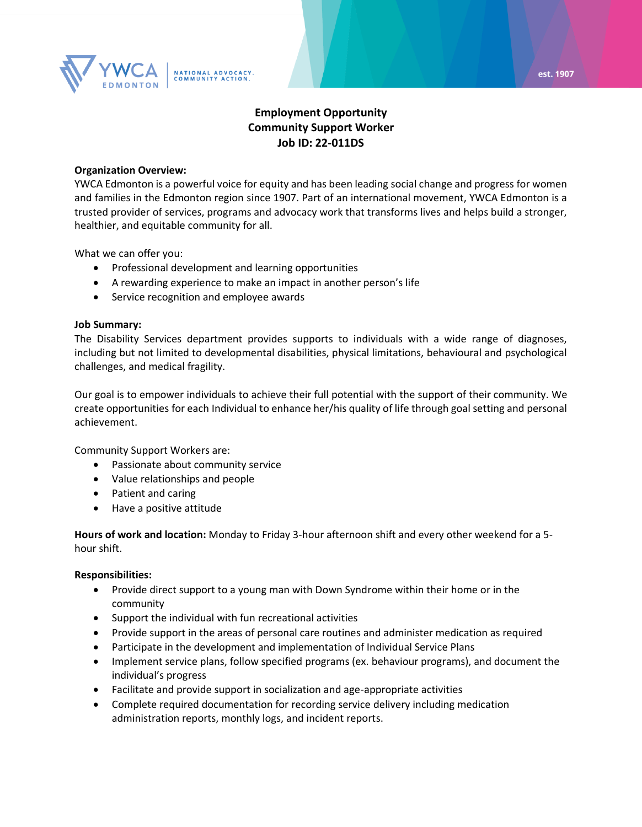

# **Employment Opportunity Community Support Worker Job ID: 22-011DS**

### **Organization Overview:**

YWCA Edmonton is a powerful voice for equity and has been leading social change and progress for women and families in the Edmonton region since 1907. Part of an international movement, YWCA Edmonton is a trusted provider of services, programs and advocacy work that transforms lives and helps build a stronger, healthier, and equitable community for all.

What we can offer you:

- Professional development and learning opportunities
- A rewarding experience to make an impact in another person's life
- Service recognition and employee awards

# **Job Summary:**

The Disability Services department provides supports to individuals with a wide range of diagnoses, including but not limited to developmental disabilities, physical limitations, behavioural and psychological challenges, and medical fragility.

Our goal is to empower individuals to achieve their full potential with the support of their community. We create opportunities for each Individual to enhance her/his quality of life through goal setting and personal achievement.

Community Support Workers are:

- Passionate about community service
- Value relationships and people
- Patient and caring
- Have a positive attitude

**Hours of work and location:** Monday to Friday 3-hour afternoon shift and every other weekend for a 5 hour shift.

#### **Responsibilities:**

- Provide direct support to a young man with Down Syndrome within their home or in the community
- Support the individual with fun recreational activities
- Provide support in the areas of personal care routines and administer medication as required
- Participate in the development and implementation of Individual Service Plans
- Implement service plans, follow specified programs (ex. behaviour programs), and document the individual's progress
- Facilitate and provide support in socialization and age-appropriate activities
- Complete required documentation for recording service delivery including medication administration reports, monthly logs, and incident reports.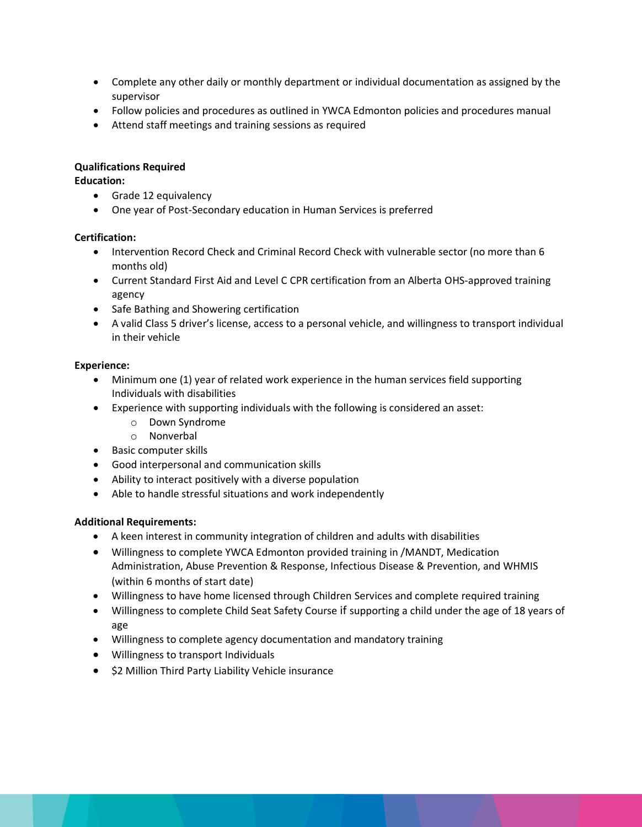- Complete any other daily or monthly department or individual documentation as assigned by the supervisor
- Follow policies and procedures as outlined in YWCA Edmonton policies and procedures manual
- Attend staff meetings and training sessions as required

# **Qualifications Required**

**Education:**

- Grade 12 equivalency
- One year of Post-Secondary education in Human Services is preferred

# **Certification:**

- Intervention Record Check and Criminal Record Check with vulnerable sector (no more than 6 months old)
- Current Standard First Aid and Level C CPR certification from an Alberta OHS-approved training agency
- Safe Bathing and Showering certification
- A valid Class 5 driver's license, access to a personal vehicle, and willingness to transport individual in their vehicle

# **Experience:**

- Minimum one (1) year of related work experience in the human services field supporting Individuals with disabilities
- Experience with supporting individuals with the following is considered an asset:
	- o Down Syndrome
	- o Nonverbal
- Basic computer skills
- Good interpersonal and communication skills
- Ability to interact positively with a diverse population
- Able to handle stressful situations and work independently

# **Additional Requirements:**

- A keen interest in community integration of children and adults with disabilities
- Willingness to complete YWCA Edmonton provided training in /MANDT, Medication Administration, Abuse Prevention & Response, Infectious Disease & Prevention, and WHMIS (within 6 months of start date)
- Willingness to have home licensed through Children Services and complete required training
- Willingness to complete Child Seat Safety Course if supporting a child under the age of 18 years of age
- Willingness to complete agency documentation and mandatory training
- Willingness to transport Individuals
- \$2 Million Third Party Liability Vehicle insurance